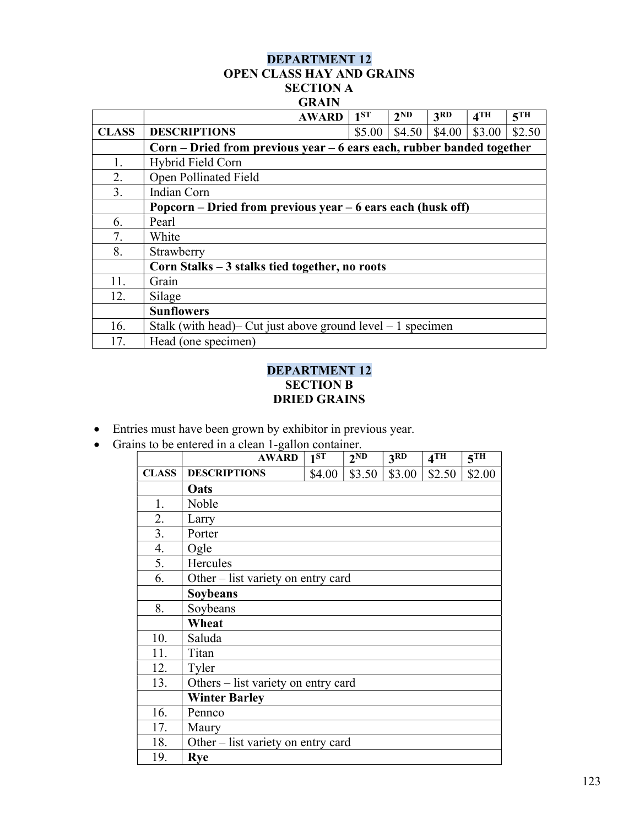## DEPARTMENT 12 OPEN CLASS HAY AND GRAINS SECTION A **GRAIN**

|              | <b>AWARD</b>                                                          | $1^{ST}$ | 2 <sub>ND</sub> | 3 <sup>RD</sup> | 4TH    | 5 <sup>TH</sup> |  |  |
|--------------|-----------------------------------------------------------------------|----------|-----------------|-----------------|--------|-----------------|--|--|
| <b>CLASS</b> | <b>DESCRIPTIONS</b>                                                   | \$5.00   | \$4.50          | \$4.00          | \$3.00 | \$2.50          |  |  |
|              | Corn – Dried from previous year – 6 ears each, rubber banded together |          |                 |                 |        |                 |  |  |
| 1.           | Hybrid Field Corn                                                     |          |                 |                 |        |                 |  |  |
| 2.           | Open Pollinated Field                                                 |          |                 |                 |        |                 |  |  |
| 3.           | Indian Corn                                                           |          |                 |                 |        |                 |  |  |
|              | Popcorn – Dried from previous year – 6 ears each (husk off)           |          |                 |                 |        |                 |  |  |
| 6.           | Pearl                                                                 |          |                 |                 |        |                 |  |  |
| 7.           | White                                                                 |          |                 |                 |        |                 |  |  |
| 8.           | Strawberry                                                            |          |                 |                 |        |                 |  |  |
|              | Corn Stalks – 3 stalks tied together, no roots                        |          |                 |                 |        |                 |  |  |
| 11.          | Grain                                                                 |          |                 |                 |        |                 |  |  |
| 12.          | Silage                                                                |          |                 |                 |        |                 |  |  |
|              | <b>Sunflowers</b>                                                     |          |                 |                 |        |                 |  |  |
| 16.          | Stalk (with head)– Cut just above ground level $-1$ specimen          |          |                 |                 |        |                 |  |  |
| 17.          | Head (one specimen)                                                   |          |                 |                 |        |                 |  |  |

## DEPARTMENT 12 SECTION B DRIED GRAINS

- Entries must have been grown by exhibitor in previous year.
- Grains to be entered in a clean 1-gallon container.

|              | <b>AWARD</b>                        | 1 <sup>ST</sup> | 2 <sub>ND</sub> | 3RD    | 4TH    | 5 <sup>TH</sup> |  |
|--------------|-------------------------------------|-----------------|-----------------|--------|--------|-----------------|--|
| <b>CLASS</b> | <b>DESCRIPTIONS</b>                 | \$4.00          | \$3.50          | \$3.00 | \$2.50 | \$2.00          |  |
|              | Oats                                |                 |                 |        |        |                 |  |
| 1.           | Noble                               |                 |                 |        |        |                 |  |
| 2.           | Larry                               |                 |                 |        |        |                 |  |
| 3.           | Porter                              |                 |                 |        |        |                 |  |
| 4.           | Ogle                                |                 |                 |        |        |                 |  |
| 5.           | Hercules                            |                 |                 |        |        |                 |  |
| 6.           | Other – list variety on entry card  |                 |                 |        |        |                 |  |
|              | Soybeans                            |                 |                 |        |        |                 |  |
| 8.           | Soybeans                            |                 |                 |        |        |                 |  |
|              | Wheat                               |                 |                 |        |        |                 |  |
| 10.          | Saluda                              |                 |                 |        |        |                 |  |
| 11.          | Titan                               |                 |                 |        |        |                 |  |
| 12.          | Tyler                               |                 |                 |        |        |                 |  |
| 13.          | Others – list variety on entry card |                 |                 |        |        |                 |  |
|              | <b>Winter Barley</b>                |                 |                 |        |        |                 |  |
| 16.          | Pennco                              |                 |                 |        |        |                 |  |
| 17.          | Maury                               |                 |                 |        |        |                 |  |
| 18.          | Other – list variety on entry card  |                 |                 |        |        |                 |  |
| 19.          | <b>Rye</b>                          |                 |                 |        |        |                 |  |